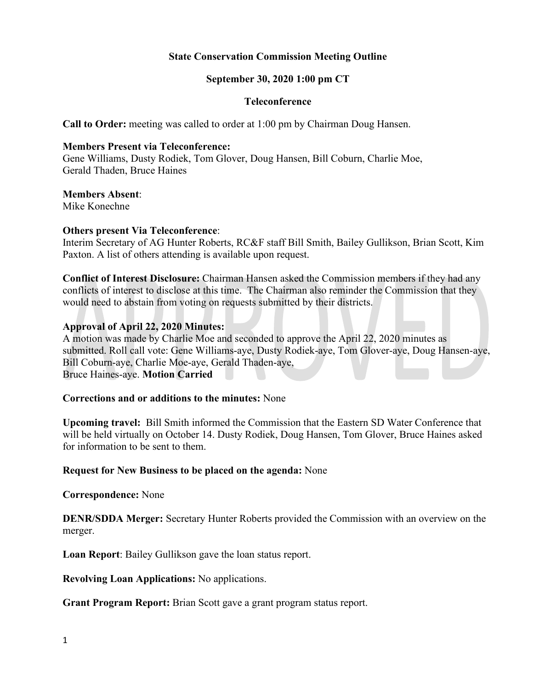# **State Conservation Commission Meeting Outline**

## **September 30, 2020 1:00 pm CT**

#### **Teleconference**

**Call to Order:** meeting was called to order at 1:00 pm by Chairman Doug Hansen.

#### **Members Present via Teleconference:**

Gene Williams, Dusty Rodiek, Tom Glover, Doug Hansen, Bill Coburn, Charlie Moe, Gerald Thaden, Bruce Haines

#### **Members Absent**:

Mike Konechne

#### **Others present Via Teleconference**:

Interim Secretary of AG Hunter Roberts, RC&F staff Bill Smith, Bailey Gullikson, Brian Scott, Kim Paxton. A list of others attending is available upon request.

**Conflict of Interest Disclosure:** Chairman Hansen asked the Commission members if they had any conflicts of interest to disclose at this time. The Chairman also reminder the Commission that they would need to abstain from voting on requests submitted by their districts.

#### **Approval of April 22, 2020 Minutes:**

A motion was made by Charlie Moe and seconded to approve the April 22, 2020 minutes as submitted. Roll call vote: Gene Williams-aye, Dusty Rodiek-aye, Tom Glover-aye, Doug Hansen-aye, Bill Coburn-aye, Charlie Moe-aye, Gerald Thaden-aye, Bruce Haines-aye. **Motion Carried**

## **Corrections and or additions to the minutes:** None

**Upcoming travel:** Bill Smith informed the Commission that the Eastern SD Water Conference that will be held virtually on October 14. Dusty Rodiek, Doug Hansen, Tom Glover, Bruce Haines asked for information to be sent to them.

#### **Request for New Business to be placed on the agenda:** None

**Correspondence:** None

**DENR/SDDA Merger:** Secretary Hunter Roberts provided the Commission with an overview on the merger.

**Loan Report**: Bailey Gullikson gave the loan status report.

**Revolving Loan Applications:** No applications.

**Grant Program Report:** Brian Scott gave a grant program status report.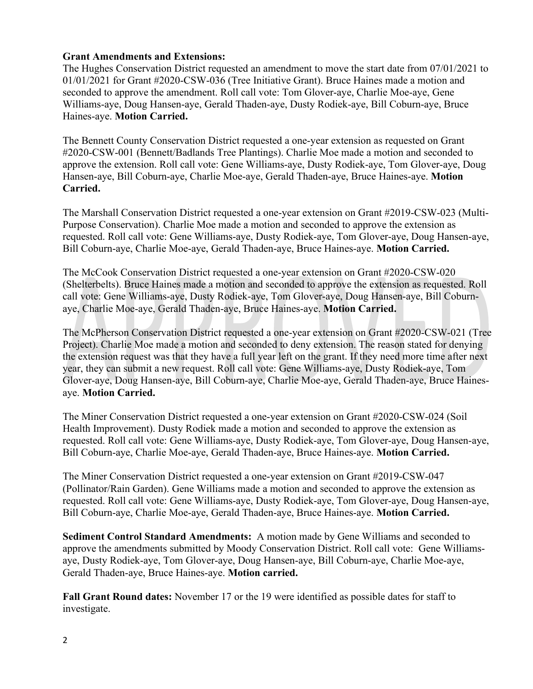# **Grant Amendments and Extensions:**

The Hughes Conservation District requested an amendment to move the start date from 07/01/2021 to 01/01/2021 for Grant #2020-CSW-036 (Tree Initiative Grant). Bruce Haines made a motion and seconded to approve the amendment. Roll call vote: Tom Glover-aye, Charlie Moe-aye, Gene Williams-aye, Doug Hansen-aye, Gerald Thaden-aye, Dusty Rodiek-aye, Bill Coburn-aye, Bruce Haines-aye. **Motion Carried.**

The Bennett County Conservation District requested a one-year extension as requested on Grant #2020-CSW-001 (Bennett/Badlands Tree Plantings). Charlie Moe made a motion and seconded to approve the extension. Roll call vote: Gene Williams-aye, Dusty Rodiek-aye, Tom Glover-aye, Doug Hansen-aye, Bill Coburn-aye, Charlie Moe-aye, Gerald Thaden-aye, Bruce Haines-aye. **Motion Carried.**

The Marshall Conservation District requested a one-year extension on Grant #2019-CSW-023 (Multi-Purpose Conservation). Charlie Moe made a motion and seconded to approve the extension as requested. Roll call vote: Gene Williams-aye, Dusty Rodiek-aye, Tom Glover-aye, Doug Hansen-aye, Bill Coburn-aye, Charlie Moe-aye, Gerald Thaden-aye, Bruce Haines-aye. **Motion Carried.**

The McCook Conservation District requested a one-year extension on Grant #2020-CSW-020 (Shelterbelts). Bruce Haines made a motion and seconded to approve the extension as requested. Roll call vote: Gene Williams-aye, Dusty Rodiek-aye, Tom Glover-aye, Doug Hansen-aye, Bill Coburnaye, Charlie Moe-aye, Gerald Thaden-aye, Bruce Haines-aye. **Motion Carried.**

The McPherson Conservation District requested a one-year extension on Grant #2020-CSW-021 (Tree Project). Charlie Moe made a motion and seconded to deny extension. The reason stated for denying the extension request was that they have a full year left on the grant. If they need more time after next year, they can submit a new request. Roll call vote: Gene Williams-aye, Dusty Rodiek-aye, Tom Glover-aye, Doug Hansen-aye, Bill Coburn-aye, Charlie Moe-aye, Gerald Thaden-aye, Bruce Hainesaye. **Motion Carried.**

The Miner Conservation District requested a one-year extension on Grant #2020-CSW-024 (Soil Health Improvement). Dusty Rodiek made a motion and seconded to approve the extension as requested. Roll call vote: Gene Williams-aye, Dusty Rodiek-aye, Tom Glover-aye, Doug Hansen-aye, Bill Coburn-aye, Charlie Moe-aye, Gerald Thaden-aye, Bruce Haines-aye. **Motion Carried.**

The Miner Conservation District requested a one-year extension on Grant #2019-CSW-047 (Pollinator/Rain Garden). Gene Williams made a motion and seconded to approve the extension as requested. Roll call vote: Gene Williams-aye, Dusty Rodiek-aye, Tom Glover-aye, Doug Hansen-aye, Bill Coburn-aye, Charlie Moe-aye, Gerald Thaden-aye, Bruce Haines-aye. **Motion Carried.**

**Sediment Control Standard Amendments:** A motion made by Gene Williams and seconded to approve the amendments submitted by Moody Conservation District. Roll call vote: Gene Williamsaye, Dusty Rodiek-aye, Tom Glover-aye, Doug Hansen-aye, Bill Coburn-aye, Charlie Moe-aye, Gerald Thaden-aye, Bruce Haines-aye. **Motion carried.**

**Fall Grant Round dates:** November 17 or the 19 were identified as possible dates for staff to investigate.